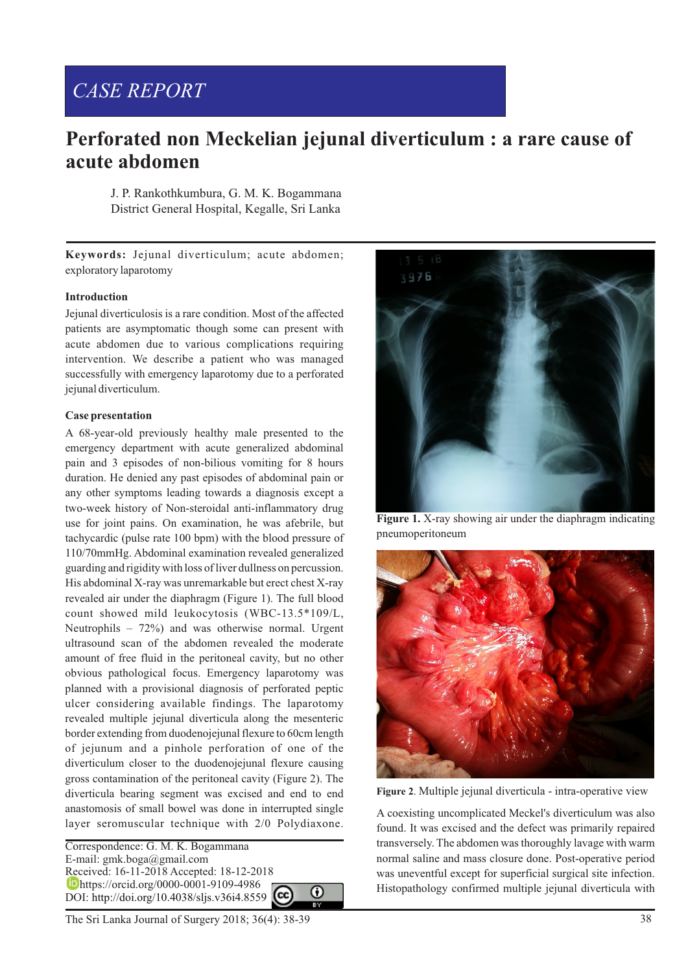# *CASE REPORT*

# **Perforated non Meckelian jejunal diverticulum : a rare cause of acute abdomen**

J. P. Rankothkumbura, G. M. K. Bogammana District General Hospital, Kegalle, Sri Lanka

**Keywords:** Jejunal diverticulum; acute abdomen; exploratory laparotomy

## **Introduction**

Jejunal diverticulosis is a rare condition. Most of the affected patients are asymptomatic though some can present with acute abdomen due to various complications requiring intervention. We describe a patient who was managed successfully with emergency laparotomy due to a perforated jejunal diverticulum.

#### **Case presentation**

A 68-year-old previously healthy male presented to the emergency department with acute generalized abdominal pain and 3 episodes of non-bilious vomiting for 8 hours duration. He denied any past episodes of abdominal pain or any other symptoms leading towards a diagnosis except a two-week history of Non-steroidal anti-inflammatory drug use for joint pains. On examination, he was afebrile, but tachycardic (pulse rate 100 bpm) with the blood pressure of 110/70mmHg. Abdominal examination revealed generalized guarding and rigidity with loss of liver dullness on percussion. His abdominal X-ray was unremarkable but erect chest X-ray revealed air under the diaphragm (Figure 1). The full blood count showed mild leukocytosis (WBC-13.5\*109/L, Neutrophils – 72%) and was otherwise normal. Urgent ultrasound scan of the abdomen revealed the moderate amount of free fluid in the peritoneal cavity, but no other obvious pathological focus. Emergency laparotomy was planned with a provisional diagnosis of perforated peptic ulcer considering available findings. The laparotomy revealed multiple jejunal diverticula along the mesenteric border extending from duodenojejunal flexure to 60cm length of jejunum and a pinhole perforation of one of the diverticulum closer to the duodenojejunal flexure causing gross contamination of the peritoneal cavity (Figure 2). The diverticula bearing segment was excised and end to end anastomosis of small bowel was done in interrupted single layer seromuscular technique with 2/0 Polydiaxone.

Correspondence: G. M. K. Bogammana E-mail: gmk.boga@gmail.com Received: 16-11-2018 Accepted: 18-12-2018 https://orcid.org/0000-0001-9109-4986 ⋒ DOI: http://doi.org/10.4038/sljs.v36i4.8559





**Figure 2**. Multiple jejunal diverticula - intra-operative view

A coexisting uncomplicated Meckel's diverticulum was also found. It was excised and the defect was primarily repaired transversely. The abdomen was thoroughly lavage with warm normal saline and mass closure done. Post-operative period was uneventful except for superficial surgical site infection. Histopathology confirmed multiple jejunal diverticula with